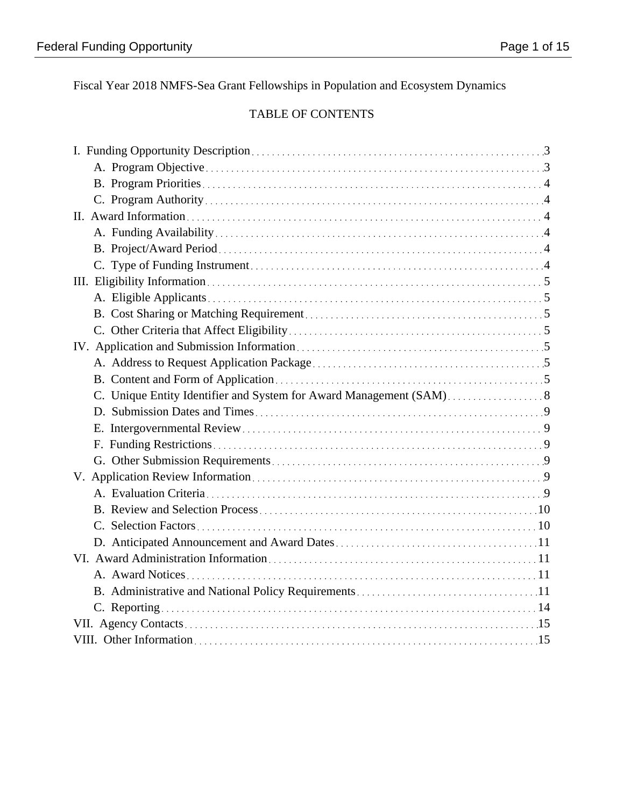Fiscal Year 2018 NMFS-Sea Grant Fellowships in Population and Ecosystem Dynamics

# TABLE OF CONTENTS

| C. Unique Entity Identifier and System for Award Management (SAM)8 |  |
|--------------------------------------------------------------------|--|
|                                                                    |  |
|                                                                    |  |
|                                                                    |  |
|                                                                    |  |
|                                                                    |  |
|                                                                    |  |
|                                                                    |  |
|                                                                    |  |
|                                                                    |  |
|                                                                    |  |
|                                                                    |  |
|                                                                    |  |
|                                                                    |  |
|                                                                    |  |
|                                                                    |  |
|                                                                    |  |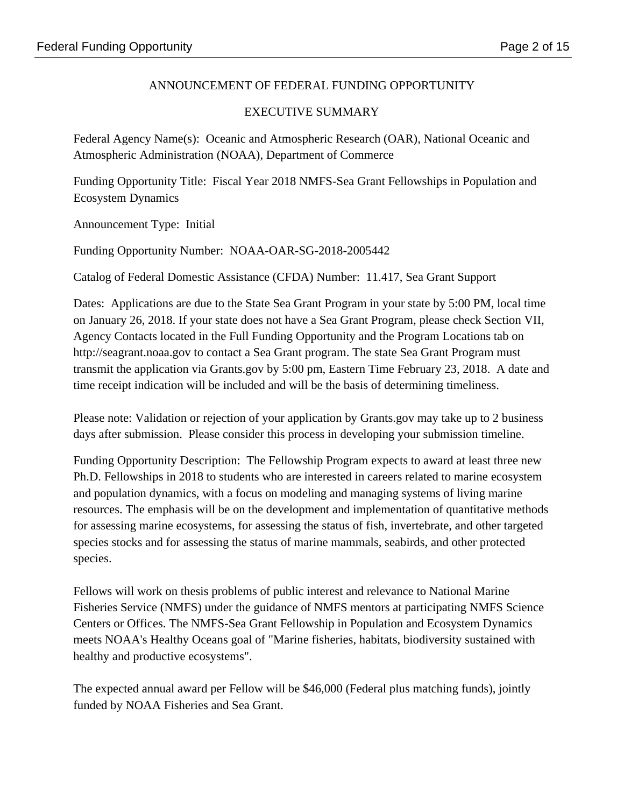# ANNOUNCEMENT OF FEDERAL FUNDING OPPORTUNITY

# EXECUTIVE SUMMARY

Federal Agency Name(s): Oceanic and Atmospheric Research (OAR), National Oceanic and Atmospheric Administration (NOAA), Department of Commerce

Funding Opportunity Title: Fiscal Year 2018 NMFS-Sea Grant Fellowships in Population and Ecosystem Dynamics

Announcement Type: Initial

Funding Opportunity Number: NOAA-OAR-SG-2018-2005442

Catalog of Federal Domestic Assistance (CFDA) Number: 11.417, Sea Grant Support

Dates: Applications are due to the State Sea Grant Program in your state by 5:00 PM, local time on January 26, 2018. If your state does not have a Sea Grant Program, please check Section VII, Agency Contacts located in the Full Funding Opportunity and the Program Locations tab on http://seagrant.noaa.gov to contact a Sea Grant program. The state Sea Grant Program must transmit the application via Grants.gov by 5:00 pm, Eastern Time February 23, 2018. A date and time receipt indication will be included and will be the basis of determining timeliness.

Please note: Validation or rejection of your application by Grants.gov may take up to 2 business days after submission. Please consider this process in developing your submission timeline.

Funding Opportunity Description: The Fellowship Program expects to award at least three new Ph.D. Fellowships in 2018 to students who are interested in careers related to marine ecosystem and population dynamics, with a focus on modeling and managing systems of living marine resources. The emphasis will be on the development and implementation of quantitative methods for assessing marine ecosystems, for assessing the status of fish, invertebrate, and other targeted species stocks and for assessing the status of marine mammals, seabirds, and other protected species.

Fellows will work on thesis problems of public interest and relevance to National Marine Fisheries Service (NMFS) under the guidance of NMFS mentors at participating NMFS Science Centers or Offices. The NMFS-Sea Grant Fellowship in Population and Ecosystem Dynamics meets NOAA's Healthy Oceans goal of "Marine fisheries, habitats, biodiversity sustained with healthy and productive ecosystems".

The expected annual award per Fellow will be \$46,000 (Federal plus matching funds), jointly funded by NOAA Fisheries and Sea Grant.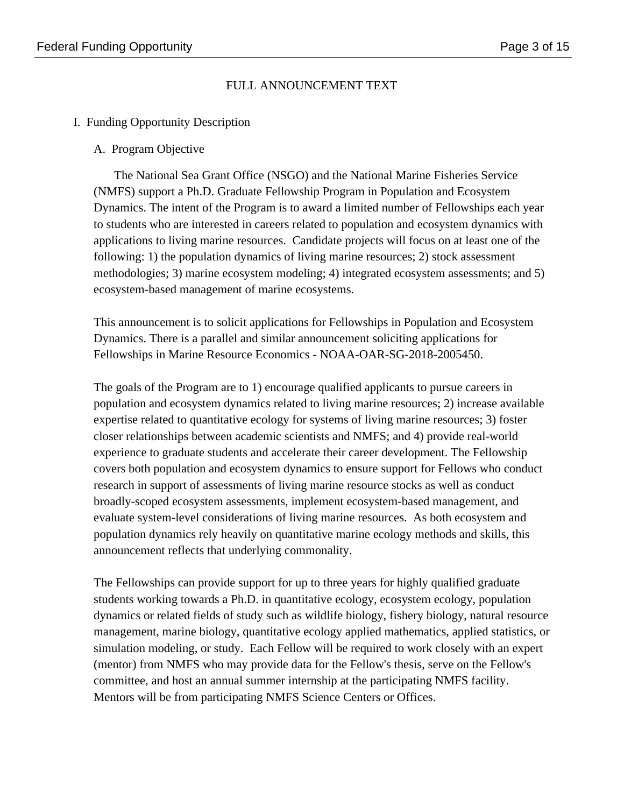### FULL ANNOUNCEMENT TEXT

#### I. Funding Opportunity Description

A. Program Objective

The National Sea Grant Office (NSGO) and the National Marine Fisheries Service (NMFS) support a Ph.D. Graduate Fellowship Program in Population and Ecosystem Dynamics. The intent of the Program is to award a limited number of Fellowships each year to students who are interested in careers related to population and ecosystem dynamics with applications to living marine resources. Candidate projects will focus on at least one of the following: 1) the population dynamics of living marine resources; 2) stock assessment methodologies; 3) marine ecosystem modeling; 4) integrated ecosystem assessments; and 5) ecosystem-based management of marine ecosystems.

This announcement is to solicit applications for Fellowships in Population and Ecosystem Dynamics. There is a parallel and similar announcement soliciting applications for Fellowships in Marine Resource Economics - NOAA-OAR-SG-2018-2005450.

The goals of the Program are to 1) encourage qualified applicants to pursue careers in population and ecosystem dynamics related to living marine resources; 2) increase available expertise related to quantitative ecology for systems of living marine resources; 3) foster closer relationships between academic scientists and NMFS; and 4) provide real-world experience to graduate students and accelerate their career development. The Fellowship covers both population and ecosystem dynamics to ensure support for Fellows who conduct research in support of assessments of living marine resource stocks as well as conduct broadly-scoped ecosystem assessments, implement ecosystem-based management, and evaluate system-level considerations of living marine resources. As both ecosystem and population dynamics rely heavily on quantitative marine ecology methods and skills, this announcement reflects that underlying commonality.

The Fellowships can provide support for up to three years for highly qualified graduate students working towards a Ph.D. in quantitative ecology, ecosystem ecology, population dynamics or related fields of study such as wildlife biology, fishery biology, natural resource management, marine biology, quantitative ecology applied mathematics, applied statistics, or simulation modeling, or study. Each Fellow will be required to work closely with an expert (mentor) from NMFS who may provide data for the Fellow's thesis, serve on the Fellow's committee, and host an annual summer internship at the participating NMFS facility. Mentors will be from participating NMFS Science Centers or Offices.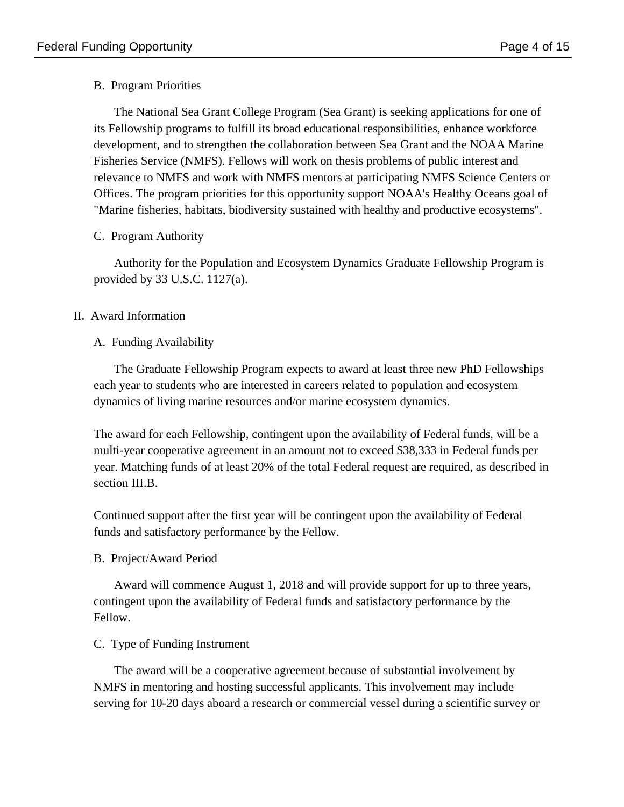#### B. Program Priorities

The National Sea Grant College Program (Sea Grant) is seeking applications for one of its Fellowship programs to fulfill its broad educational responsibilities, enhance workforce development, and to strengthen the collaboration between Sea Grant and the NOAA Marine Fisheries Service (NMFS). Fellows will work on thesis problems of public interest and relevance to NMFS and work with NMFS mentors at participating NMFS Science Centers or Offices. The program priorities for this opportunity support NOAA's Healthy Oceans goal of "Marine fisheries, habitats, biodiversity sustained with healthy and productive ecosystems".

### C. Program Authority

Authority for the Population and Ecosystem Dynamics Graduate Fellowship Program is provided by 33 U.S.C. 1127(a).

#### II. Award Information

### A. Funding Availability

The Graduate Fellowship Program expects to award at least three new PhD Fellowships each year to students who are interested in careers related to population and ecosystem dynamics of living marine resources and/or marine ecosystem dynamics.

The award for each Fellowship, contingent upon the availability of Federal funds, will be a multi-year cooperative agreement in an amount not to exceed \$38,333 in Federal funds per year. Matching funds of at least 20% of the total Federal request are required, as described in section III.B.

Continued support after the first year will be contingent upon the availability of Federal funds and satisfactory performance by the Fellow.

#### B. Project/Award Period

Award will commence August 1, 2018 and will provide support for up to three years, contingent upon the availability of Federal funds and satisfactory performance by the Fellow.

#### C. Type of Funding Instrument

The award will be a cooperative agreement because of substantial involvement by NMFS in mentoring and hosting successful applicants. This involvement may include serving for 10-20 days aboard a research or commercial vessel during a scientific survey or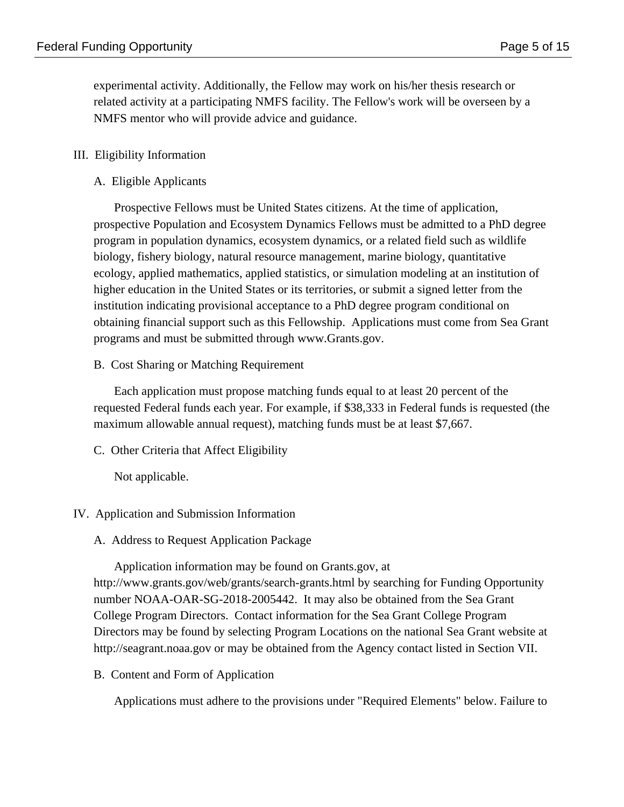experimental activity. Additionally, the Fellow may work on his/her thesis research or related activity at a participating NMFS facility. The Fellow's work will be overseen by a NMFS mentor who will provide advice and guidance.

### III. Eligibility Information

#### A. Eligible Applicants

Prospective Fellows must be United States citizens. At the time of application, prospective Population and Ecosystem Dynamics Fellows must be admitted to a PhD degree program in population dynamics, ecosystem dynamics, or a related field such as wildlife biology, fishery biology, natural resource management, marine biology, quantitative ecology, applied mathematics, applied statistics, or simulation modeling at an institution of higher education in the United States or its territories, or submit a signed letter from the institution indicating provisional acceptance to a PhD degree program conditional on obtaining financial support such as this Fellowship. Applications must come from Sea Grant programs and must be submitted through www.Grants.gov.

B. Cost Sharing or Matching Requirement

Each application must propose matching funds equal to at least 20 percent of the requested Federal funds each year. For example, if \$38,333 in Federal funds is requested (the maximum allowable annual request), matching funds must be at least \$7,667.

C. Other Criteria that Affect Eligibility

Not applicable.

#### IV. Application and Submission Information

#### A. Address to Request Application Package

Application information may be found on Grants.gov, at

http://www.grants.gov/web/grants/search-grants.html by searching for Funding Opportunity number NOAA-OAR-SG-2018-2005442. It may also be obtained from the Sea Grant College Program Directors. Contact information for the Sea Grant College Program Directors may be found by selecting Program Locations on the national Sea Grant website at http://seagrant.noaa.gov or may be obtained from the Agency contact listed in Section VII.

B. Content and Form of Application

Applications must adhere to the provisions under "Required Elements" below. Failure to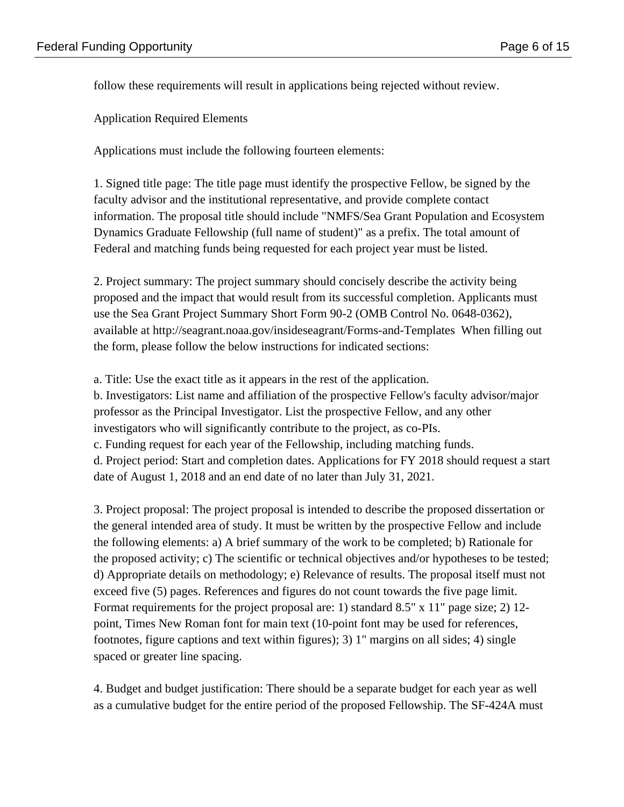follow these requirements will result in applications being rejected without review.

Application Required Elements

Applications must include the following fourteen elements:

1. Signed title page: The title page must identify the prospective Fellow, be signed by the faculty advisor and the institutional representative, and provide complete contact information. The proposal title should include "NMFS/Sea Grant Population and Ecosystem Dynamics Graduate Fellowship (full name of student)" as a prefix. The total amount of Federal and matching funds being requested for each project year must be listed.

2. Project summary: The project summary should concisely describe the activity being proposed and the impact that would result from its successful completion. Applicants must use the Sea Grant Project Summary Short Form 90-2 (OMB Control No. 0648-0362), available at http://seagrant.noaa.gov/insideseagrant/Forms-and-Templates When filling out the form, please follow the below instructions for indicated sections:

a. Title: Use the exact title as it appears in the rest of the application.

b. Investigators: List name and affiliation of the prospective Fellow's faculty advisor/major professor as the Principal Investigator. List the prospective Fellow, and any other investigators who will significantly contribute to the project, as co-PIs.

c. Funding request for each year of the Fellowship, including matching funds.

d. Project period: Start and completion dates. Applications for FY 2018 should request a start date of August 1, 2018 and an end date of no later than July 31, 2021.

3. Project proposal: The project proposal is intended to describe the proposed dissertation or the general intended area of study. It must be written by the prospective Fellow and include the following elements: a) A brief summary of the work to be completed; b) Rationale for the proposed activity; c) The scientific or technical objectives and/or hypotheses to be tested; d) Appropriate details on methodology; e) Relevance of results. The proposal itself must not exceed five (5) pages. References and figures do not count towards the five page limit. Format requirements for the project proposal are: 1) standard 8.5" x 11" page size; 2) 12 point, Times New Roman font for main text (10-point font may be used for references, footnotes, figure captions and text within figures); 3) 1" margins on all sides; 4) single spaced or greater line spacing.

4. Budget and budget justification: There should be a separate budget for each year as well as a cumulative budget for the entire period of the proposed Fellowship. The SF-424A must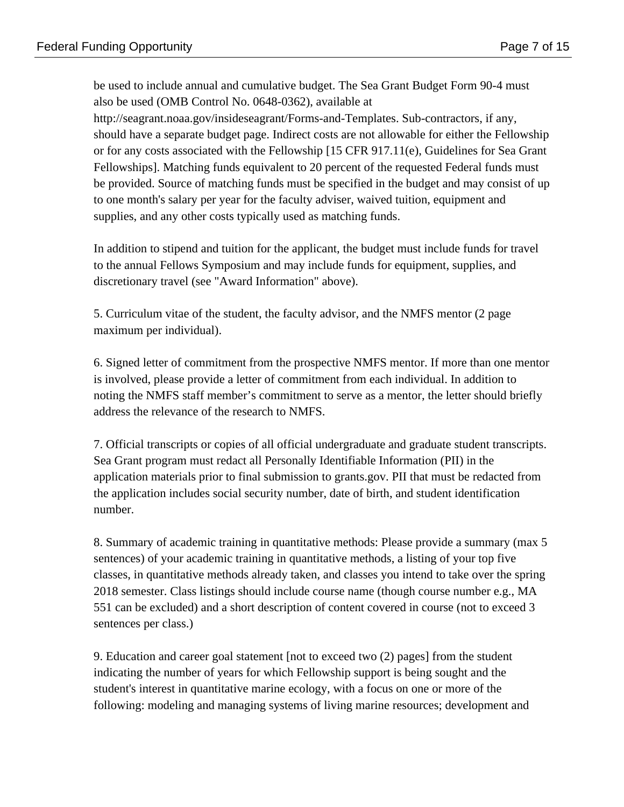be used to include annual and cumulative budget. The Sea Grant Budget Form 90-4 must also be used (OMB Control No. 0648-0362), available at

http://seagrant.noaa.gov/insideseagrant/Forms-and-Templates. Sub-contractors, if any, should have a separate budget page. Indirect costs are not allowable for either the Fellowship or for any costs associated with the Fellowship [15 CFR 917.11(e), Guidelines for Sea Grant Fellowships]. Matching funds equivalent to 20 percent of the requested Federal funds must be provided. Source of matching funds must be specified in the budget and may consist of up to one month's salary per year for the faculty adviser, waived tuition, equipment and supplies, and any other costs typically used as matching funds.

In addition to stipend and tuition for the applicant, the budget must include funds for travel to the annual Fellows Symposium and may include funds for equipment, supplies, and discretionary travel (see "Award Information" above).

5. Curriculum vitae of the student, the faculty advisor, and the NMFS mentor (2 page maximum per individual).

6. Signed letter of commitment from the prospective NMFS mentor. If more than one mentor is involved, please provide a letter of commitment from each individual. In addition to noting the NMFS staff member's commitment to serve as a mentor, the letter should briefly address the relevance of the research to NMFS.

7. Official transcripts or copies of all official undergraduate and graduate student transcripts. Sea Grant program must redact all Personally Identifiable Information (PII) in the application materials prior to final submission to grants.gov. PII that must be redacted from the application includes social security number, date of birth, and student identification number.

8. Summary of academic training in quantitative methods: Please provide a summary (max 5 sentences) of your academic training in quantitative methods, a listing of your top five classes, in quantitative methods already taken, and classes you intend to take over the spring 2018 semester. Class listings should include course name (though course number e.g., MA 551 can be excluded) and a short description of content covered in course (not to exceed 3 sentences per class.)

9. Education and career goal statement [not to exceed two (2) pages] from the student indicating the number of years for which Fellowship support is being sought and the student's interest in quantitative marine ecology, with a focus on one or more of the following: modeling and managing systems of living marine resources; development and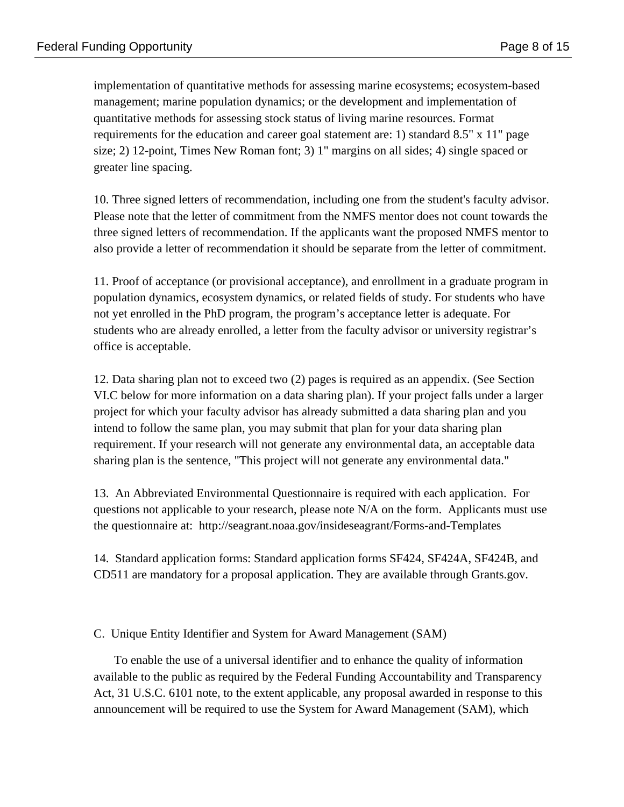implementation of quantitative methods for assessing marine ecosystems; ecosystem-based management; marine population dynamics; or the development and implementation of quantitative methods for assessing stock status of living marine resources. Format requirements for the education and career goal statement are: 1) standard 8.5" x 11" page size; 2) 12-point, Times New Roman font; 3) 1" margins on all sides; 4) single spaced or greater line spacing.

10. Three signed letters of recommendation, including one from the student's faculty advisor. Please note that the letter of commitment from the NMFS mentor does not count towards the three signed letters of recommendation. If the applicants want the proposed NMFS mentor to also provide a letter of recommendation it should be separate from the letter of commitment.

11. Proof of acceptance (or provisional acceptance), and enrollment in a graduate program in population dynamics, ecosystem dynamics, or related fields of study. For students who have not yet enrolled in the PhD program, the program's acceptance letter is adequate. For students who are already enrolled, a letter from the faculty advisor or university registrar's office is acceptable.

12. Data sharing plan not to exceed two (2) pages is required as an appendix. (See Section VI.C below for more information on a data sharing plan). If your project falls under a larger project for which your faculty advisor has already submitted a data sharing plan and you intend to follow the same plan, you may submit that plan for your data sharing plan requirement. If your research will not generate any environmental data, an acceptable data sharing plan is the sentence, "This project will not generate any environmental data."

13. An Abbreviated Environmental Questionnaire is required with each application. For questions not applicable to your research, please note N/A on the form. Applicants must use the questionnaire at: http://seagrant.noaa.gov/insideseagrant/Forms-and-Templates

14. Standard application forms: Standard application forms SF424, SF424A, SF424B, and CD511 are mandatory for a proposal application. They are available through Grants.gov.

C. Unique Entity Identifier and System for Award Management (SAM)

To enable the use of a universal identifier and to enhance the quality of information available to the public as required by the Federal Funding Accountability and Transparency Act, 31 U.S.C. 6101 note, to the extent applicable, any proposal awarded in response to this announcement will be required to use the System for Award Management (SAM), which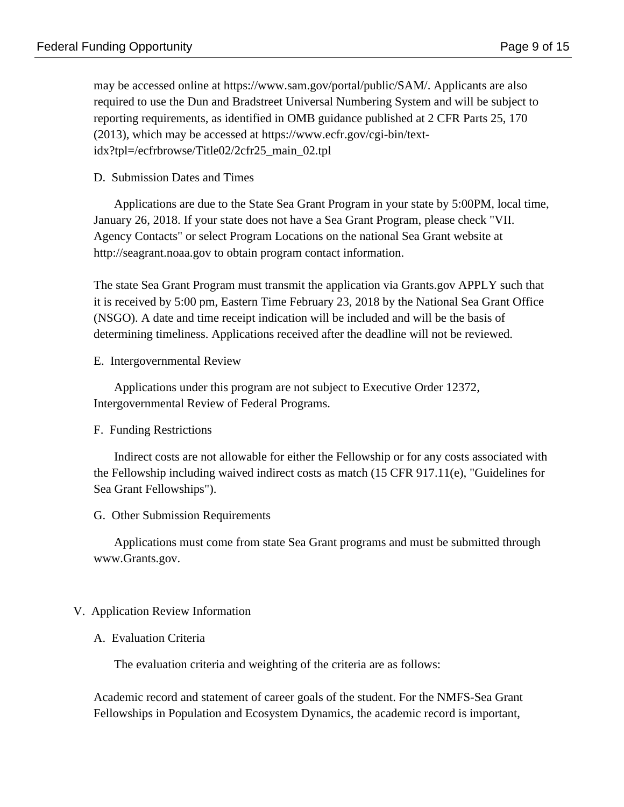may be accessed online at https://www.sam.gov/portal/public/SAM/. Applicants are also required to use the Dun and Bradstreet Universal Numbering System and will be subject to reporting requirements, as identified in OMB guidance published at 2 CFR Parts 25, 170 (2013), which may be accessed at https://www.ecfr.gov/cgi-bin/textidx?tpl=/ecfrbrowse/Title02/2cfr25\_main\_02.tpl

D. Submission Dates and Times

Applications are due to the State Sea Grant Program in your state by 5:00PM, local time, January 26, 2018. If your state does not have a Sea Grant Program, please check "VII. Agency Contacts" or select Program Locations on the national Sea Grant website at http://seagrant.noaa.gov to obtain program contact information.

The state Sea Grant Program must transmit the application via Grants.gov APPLY such that it is received by 5:00 pm, Eastern Time February 23, 2018 by the National Sea Grant Office (NSGO). A date and time receipt indication will be included and will be the basis of determining timeliness. Applications received after the deadline will not be reviewed.

E. Intergovernmental Review

Applications under this program are not subject to Executive Order 12372, Intergovernmental Review of Federal Programs.

#### F. Funding Restrictions

Indirect costs are not allowable for either the Fellowship or for any costs associated with the Fellowship including waived indirect costs as match (15 CFR 917.11(e), "Guidelines for Sea Grant Fellowships").

G. Other Submission Requirements

Applications must come from state Sea Grant programs and must be submitted through www.Grants.gov.

#### V. Application Review Information

#### A. Evaluation Criteria

The evaluation criteria and weighting of the criteria are as follows:

Academic record and statement of career goals of the student. For the NMFS-Sea Grant Fellowships in Population and Ecosystem Dynamics, the academic record is important,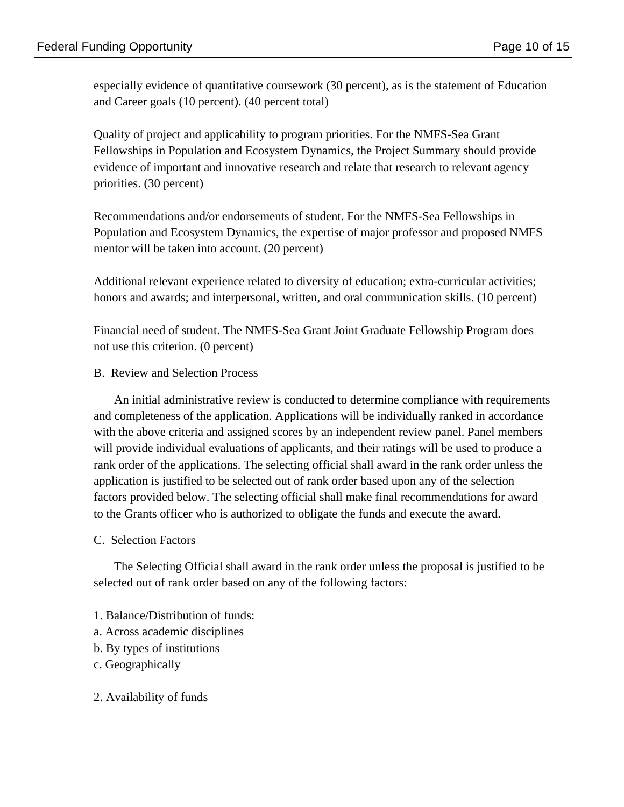especially evidence of quantitative coursework (30 percent), as is the statement of Education and Career goals (10 percent). (40 percent total)

Quality of project and applicability to program priorities. For the NMFS-Sea Grant Fellowships in Population and Ecosystem Dynamics, the Project Summary should provide evidence of important and innovative research and relate that research to relevant agency priorities. (30 percent)

Recommendations and/or endorsements of student. For the NMFS-Sea Fellowships in Population and Ecosystem Dynamics, the expertise of major professor and proposed NMFS mentor will be taken into account. (20 percent)

Additional relevant experience related to diversity of education; extra-curricular activities; honors and awards; and interpersonal, written, and oral communication skills. (10 percent)

Financial need of student. The NMFS-Sea Grant Joint Graduate Fellowship Program does not use this criterion. (0 percent)

B. Review and Selection Process

An initial administrative review is conducted to determine compliance with requirements and completeness of the application. Applications will be individually ranked in accordance with the above criteria and assigned scores by an independent review panel. Panel members will provide individual evaluations of applicants, and their ratings will be used to produce a rank order of the applications. The selecting official shall award in the rank order unless the application is justified to be selected out of rank order based upon any of the selection factors provided below. The selecting official shall make final recommendations for award to the Grants officer who is authorized to obligate the funds and execute the award.

C. Selection Factors

The Selecting Official shall award in the rank order unless the proposal is justified to be selected out of rank order based on any of the following factors:

- 1. Balance/Distribution of funds:
- a. Across academic disciplines
- b. By types of institutions
- c. Geographically
- 2. Availability of funds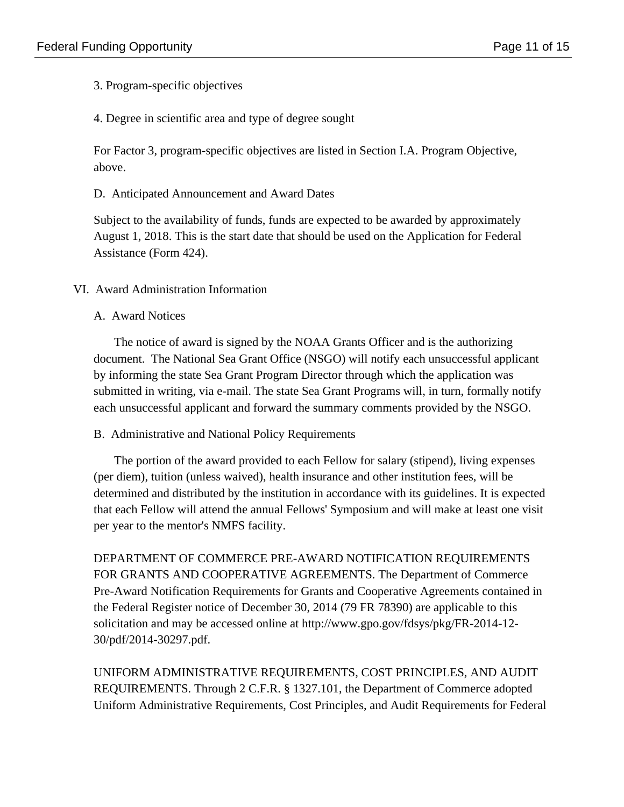# 3. Program-specific objectives

4. Degree in scientific area and type of degree sought

For Factor 3, program-specific objectives are listed in Section I.A. Program Objective, above.

### D. Anticipated Announcement and Award Dates

Subject to the availability of funds, funds are expected to be awarded by approximately August 1, 2018. This is the start date that should be used on the Application for Federal Assistance (Form 424).

### VI. Award Administration Information

### A. Award Notices

The notice of award is signed by the NOAA Grants Officer and is the authorizing document. The National Sea Grant Office (NSGO) will notify each unsuccessful applicant by informing the state Sea Grant Program Director through which the application was submitted in writing, via e-mail. The state Sea Grant Programs will, in turn, formally notify each unsuccessful applicant and forward the summary comments provided by the NSGO.

B. Administrative and National Policy Requirements

The portion of the award provided to each Fellow for salary (stipend), living expenses (per diem), tuition (unless waived), health insurance and other institution fees, will be determined and distributed by the institution in accordance with its guidelines. It is expected that each Fellow will attend the annual Fellows' Symposium and will make at least one visit per year to the mentor's NMFS facility.

DEPARTMENT OF COMMERCE PRE-AWARD NOTIFICATION REQUIREMENTS FOR GRANTS AND COOPERATIVE AGREEMENTS. The Department of Commerce Pre-Award Notification Requirements for Grants and Cooperative Agreements contained in the Federal Register notice of December 30, 2014 (79 FR 78390) are applicable to this solicitation and may be accessed online at http://www.gpo.gov/fdsys/pkg/FR-2014-12- 30/pdf/2014-30297.pdf.

UNIFORM ADMINISTRATIVE REQUIREMENTS, COST PRINCIPLES, AND AUDIT REQUIREMENTS. Through 2 C.F.R. § 1327.101, the Department of Commerce adopted Uniform Administrative Requirements, Cost Principles, and Audit Requirements for Federal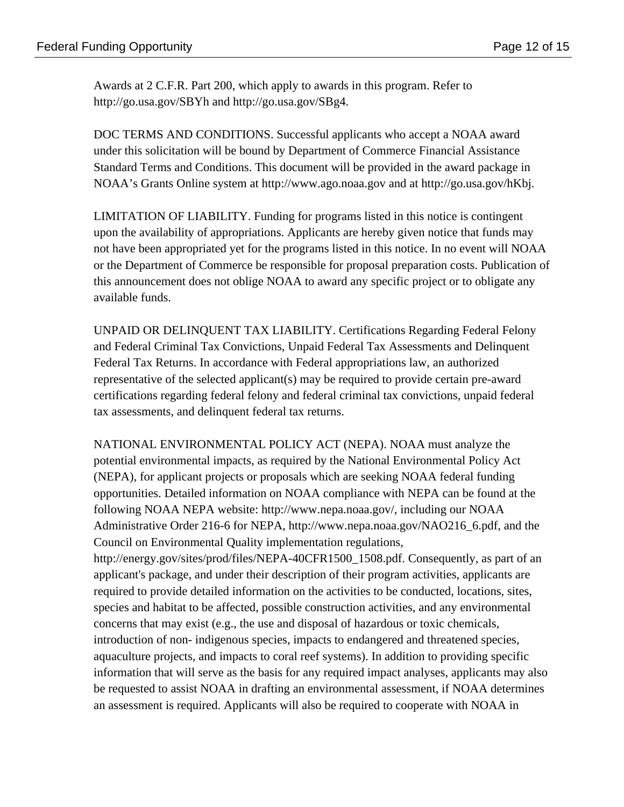Awards at 2 C.F.R. Part 200, which apply to awards in this program. Refer to http://go.usa.gov/SBYh and http://go.usa.gov/SBg4.

DOC TERMS AND CONDITIONS. Successful applicants who accept a NOAA award under this solicitation will be bound by Department of Commerce Financial Assistance Standard Terms and Conditions. This document will be provided in the award package in NOAA's Grants Online system at http://www.ago.noaa.gov and at http://go.usa.gov/hKbj.

LIMITATION OF LIABILITY. Funding for programs listed in this notice is contingent upon the availability of appropriations. Applicants are hereby given notice that funds may not have been appropriated yet for the programs listed in this notice. In no event will NOAA or the Department of Commerce be responsible for proposal preparation costs. Publication of this announcement does not oblige NOAA to award any specific project or to obligate any available funds.

UNPAID OR DELINQUENT TAX LIABILITY. Certifications Regarding Federal Felony and Federal Criminal Tax Convictions, Unpaid Federal Tax Assessments and Delinquent Federal Tax Returns. In accordance with Federal appropriations law, an authorized representative of the selected applicant(s) may be required to provide certain pre-award certifications regarding federal felony and federal criminal tax convictions, unpaid federal tax assessments, and delinquent federal tax returns.

NATIONAL ENVIRONMENTAL POLICY ACT (NEPA). NOAA must analyze the potential environmental impacts, as required by the National Environmental Policy Act (NEPA), for applicant projects or proposals which are seeking NOAA federal funding opportunities. Detailed information on NOAA compliance with NEPA can be found at the following NOAA NEPA website: http://www.nepa.noaa.gov/, including our NOAA Administrative Order 216-6 for NEPA, http://www.nepa.noaa.gov/NAO216\_6.pdf, and the Council on Environmental Quality implementation regulations, http://energy.gov/sites/prod/files/NEPA-40CFR1500\_1508.pdf. Consequently, as part of an applicant's package, and under their description of their program activities, applicants are required to provide detailed information on the activities to be conducted, locations, sites, species and habitat to be affected, possible construction activities, and any environmental concerns that may exist (e.g., the use and disposal of hazardous or toxic chemicals, introduction of non- indigenous species, impacts to endangered and threatened species, aquaculture projects, and impacts to coral reef systems). In addition to providing specific information that will serve as the basis for any required impact analyses, applicants may also be requested to assist NOAA in drafting an environmental assessment, if NOAA determines an assessment is required. Applicants will also be required to cooperate with NOAA in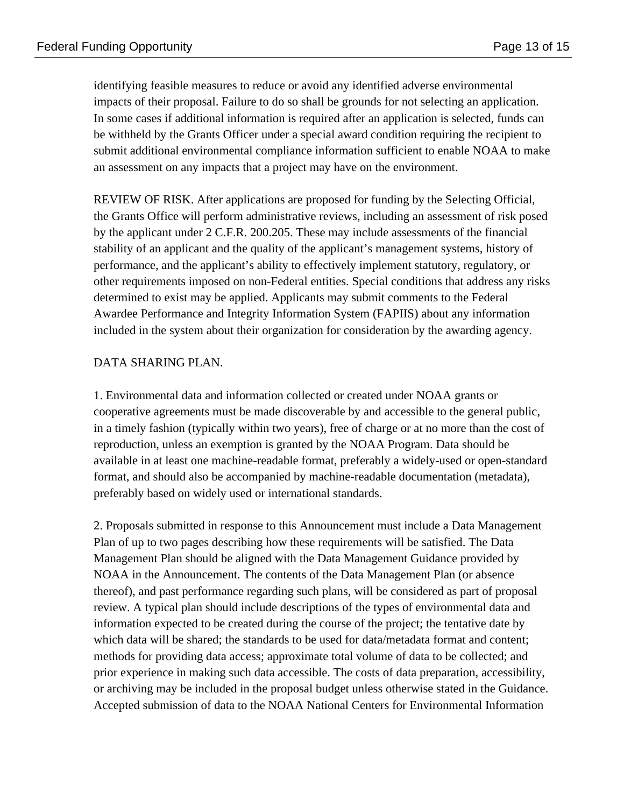identifying feasible measures to reduce or avoid any identified adverse environmental impacts of their proposal. Failure to do so shall be grounds for not selecting an application. In some cases if additional information is required after an application is selected, funds can be withheld by the Grants Officer under a special award condition requiring the recipient to submit additional environmental compliance information sufficient to enable NOAA to make an assessment on any impacts that a project may have on the environment.

REVIEW OF RISK. After applications are proposed for funding by the Selecting Official, the Grants Office will perform administrative reviews, including an assessment of risk posed by the applicant under 2 C.F.R. 200.205. These may include assessments of the financial stability of an applicant and the quality of the applicant's management systems, history of performance, and the applicant's ability to effectively implement statutory, regulatory, or other requirements imposed on non-Federal entities. Special conditions that address any risks determined to exist may be applied. Applicants may submit comments to the Federal Awardee Performance and Integrity Information System (FAPIIS) about any information included in the system about their organization for consideration by the awarding agency.

### DATA SHARING PLAN.

1. Environmental data and information collected or created under NOAA grants or cooperative agreements must be made discoverable by and accessible to the general public, in a timely fashion (typically within two years), free of charge or at no more than the cost of reproduction, unless an exemption is granted by the NOAA Program. Data should be available in at least one machine-readable format, preferably a widely-used or open-standard format, and should also be accompanied by machine-readable documentation (metadata), preferably based on widely used or international standards.

2. Proposals submitted in response to this Announcement must include a Data Management Plan of up to two pages describing how these requirements will be satisfied. The Data Management Plan should be aligned with the Data Management Guidance provided by NOAA in the Announcement. The contents of the Data Management Plan (or absence thereof), and past performance regarding such plans, will be considered as part of proposal review. A typical plan should include descriptions of the types of environmental data and information expected to be created during the course of the project; the tentative date by which data will be shared; the standards to be used for data/metadata format and content; methods for providing data access; approximate total volume of data to be collected; and prior experience in making such data accessible. The costs of data preparation, accessibility, or archiving may be included in the proposal budget unless otherwise stated in the Guidance. Accepted submission of data to the NOAA National Centers for Environmental Information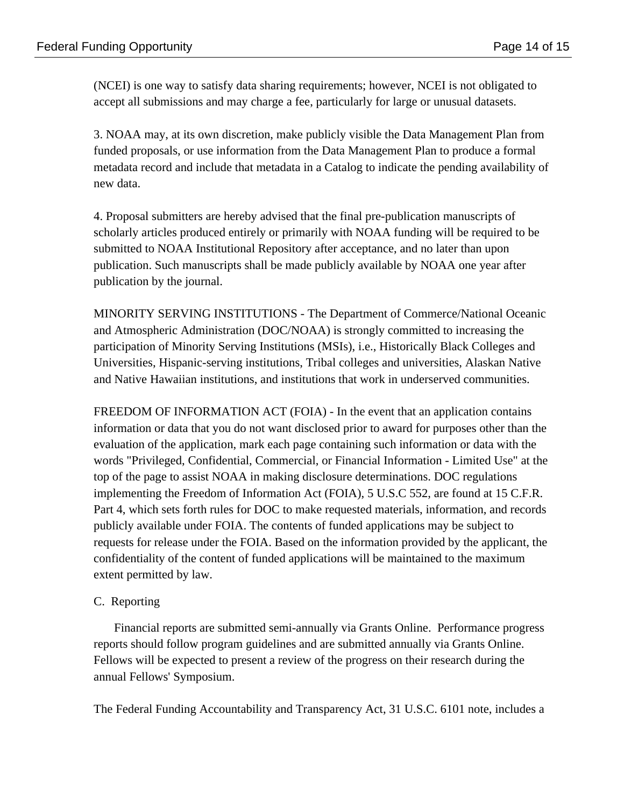(NCEI) is one way to satisfy data sharing requirements; however, NCEI is not obligated to accept all submissions and may charge a fee, particularly for large or unusual datasets.

3. NOAA may, at its own discretion, make publicly visible the Data Management Plan from funded proposals, or use information from the Data Management Plan to produce a formal metadata record and include that metadata in a Catalog to indicate the pending availability of new data.

4. Proposal submitters are hereby advised that the final pre-publication manuscripts of scholarly articles produced entirely or primarily with NOAA funding will be required to be submitted to NOAA Institutional Repository after acceptance, and no later than upon publication. Such manuscripts shall be made publicly available by NOAA one year after publication by the journal.

MINORITY SERVING INSTITUTIONS - The Department of Commerce/National Oceanic and Atmospheric Administration (DOC/NOAA) is strongly committed to increasing the participation of Minority Serving Institutions (MSIs), i.e., Historically Black Colleges and Universities, Hispanic-serving institutions, Tribal colleges and universities, Alaskan Native and Native Hawaiian institutions, and institutions that work in underserved communities.

FREEDOM OF INFORMATION ACT (FOIA) - In the event that an application contains information or data that you do not want disclosed prior to award for purposes other than the evaluation of the application, mark each page containing such information or data with the words "Privileged, Confidential, Commercial, or Financial Information - Limited Use" at the top of the page to assist NOAA in making disclosure determinations. DOC regulations implementing the Freedom of Information Act (FOIA), 5 U.S.C 552, are found at 15 C.F.R. Part 4, which sets forth rules for DOC to make requested materials, information, and records publicly available under FOIA. The contents of funded applications may be subject to requests for release under the FOIA. Based on the information provided by the applicant, the confidentiality of the content of funded applications will be maintained to the maximum extent permitted by law.

### C. Reporting

Financial reports are submitted semi-annually via Grants Online. Performance progress reports should follow program guidelines and are submitted annually via Grants Online. Fellows will be expected to present a review of the progress on their research during the annual Fellows' Symposium.

The Federal Funding Accountability and Transparency Act, 31 U.S.C. 6101 note, includes a